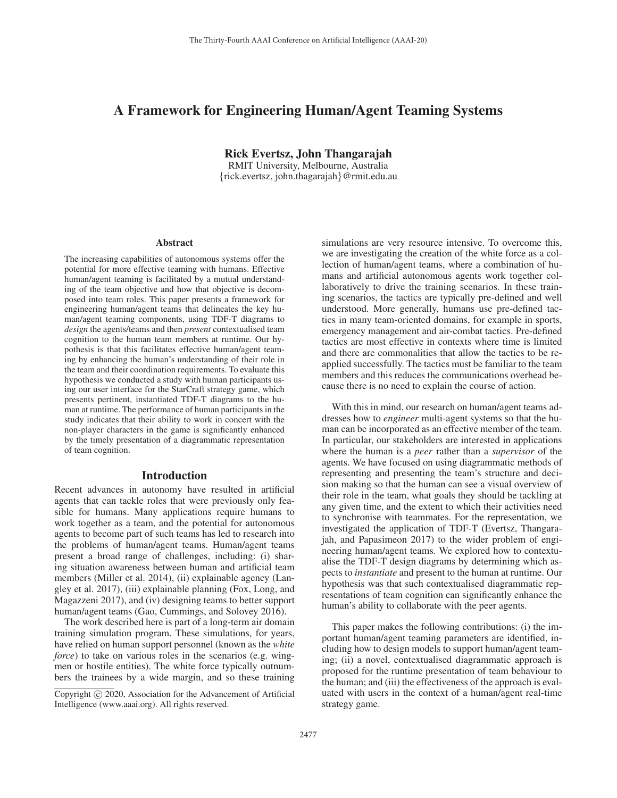# A Framework for Engineering Human/Agent Teaming Systems

Rick Evertsz, John Thangarajah

RMIT University, Melbourne, Australia {rick.evertsz, john.thagarajah}@rmit.edu.au

#### Abstract

The increasing capabilities of autonomous systems offer the potential for more effective teaming with humans. Effective human/agent teaming is facilitated by a mutual understanding of the team objective and how that objective is decomposed into team roles. This paper presents a framework for engineering human/agent teams that delineates the key human/agent teaming components, using TDF-T diagrams to *design* the agents/teams and then *present* contextualised team cognition to the human team members at runtime. Our hypothesis is that this facilitates effective human/agent teaming by enhancing the human's understanding of their role in the team and their coordination requirements. To evaluate this hypothesis we conducted a study with human participants using our user interface for the StarCraft strategy game, which presents pertinent, instantiated TDF-T diagrams to the human at runtime. The performance of human participants in the study indicates that their ability to work in concert with the non-player characters in the game is significantly enhanced by the timely presentation of a diagrammatic representation of team cognition.

#### Introduction

Recent advances in autonomy have resulted in artificial agents that can tackle roles that were previously only feasible for humans. Many applications require humans to work together as a team, and the potential for autonomous agents to become part of such teams has led to research into the problems of human/agent teams. Human/agent teams present a broad range of challenges, including: (i) sharing situation awareness between human and artificial team members (Miller et al. 2014), (ii) explainable agency (Langley et al. 2017), (iii) explainable planning (Fox, Long, and Magazzeni 2017), and (iv) designing teams to better support human/agent teams (Gao, Cummings, and Solovey 2016).

The work described here is part of a long-term air domain training simulation program. These simulations, for years, have relied on human support personnel (known as the *white force*) to take on various roles in the scenarios (e.g. wingmen or hostile entities). The white force typically outnumbers the trainees by a wide margin, and so these training

simulations are very resource intensive. To overcome this, we are investigating the creation of the white force as a collection of human/agent teams, where a combination of humans and artificial autonomous agents work together collaboratively to drive the training scenarios. In these training scenarios, the tactics are typically pre-defined and well understood. More generally, humans use pre-defined tactics in many team-oriented domains, for example in sports, emergency management and air-combat tactics. Pre-defined tactics are most effective in contexts where time is limited and there are commonalities that allow the tactics to be reapplied successfully. The tactics must be familiar to the team members and this reduces the communications overhead because there is no need to explain the course of action.

With this in mind, our research on human/agent teams addresses how to *engineer* multi-agent systems so that the human can be incorporated as an effective member of the team. In particular, our stakeholders are interested in applications where the human is a *peer* rather than a *supervisor* of the agents. We have focused on using diagrammatic methods of representing and presenting the team's structure and decision making so that the human can see a visual overview of their role in the team, what goals they should be tackling at any given time, and the extent to which their activities need to synchronise with teammates. For the representation, we investigated the application of TDF-T (Evertsz, Thangarajah, and Papasimeon 2017) to the wider problem of engineering human/agent teams. We explored how to contextualise the TDF-T design diagrams by determining which aspects to *instantiate* and present to the human at runtime. Our hypothesis was that such contextualised diagrammatic representations of team cognition can significantly enhance the human's ability to collaborate with the peer agents.

This paper makes the following contributions: (i) the important human/agent teaming parameters are identified, including how to design models to support human/agent teaming; (ii) a novel, contextualised diagrammatic approach is proposed for the runtime presentation of team behaviour to the human; and (iii) the effectiveness of the approach is evaluated with users in the context of a human/agent real-time strategy game.

Copyright  $\odot$  2020, Association for the Advancement of Artificial Intelligence (www.aaai.org). All rights reserved.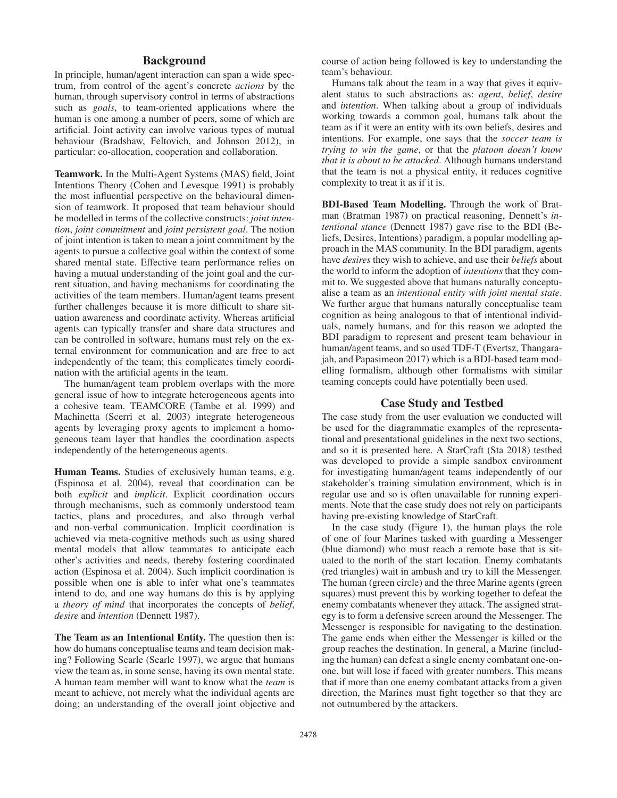## Background

In principle, human/agent interaction can span a wide spectrum, from control of the agent's concrete *actions* by the human, through supervisory control in terms of abstractions such as *goals*, to team-oriented applications where the human is one among a number of peers, some of which are artificial. Joint activity can involve various types of mutual behaviour (Bradshaw, Feltovich, and Johnson 2012), in particular: co-allocation, cooperation and collaboration.

Teamwork. In the Multi-Agent Systems (MAS) field, Joint Intentions Theory (Cohen and Levesque 1991) is probably the most influential perspective on the behavioural dimension of teamwork. It proposed that team behaviour should be modelled in terms of the collective constructs: *joint intention*, *joint commitment* and *joint persistent goal*. The notion of joint intention is taken to mean a joint commitment by the agents to pursue a collective goal within the context of some shared mental state. Effective team performance relies on having a mutual understanding of the joint goal and the current situation, and having mechanisms for coordinating the activities of the team members. Human/agent teams present further challenges because it is more difficult to share situation awareness and coordinate activity. Whereas artificial agents can typically transfer and share data structures and can be controlled in software, humans must rely on the external environment for communication and are free to act independently of the team; this complicates timely coordination with the artificial agents in the team.

The human/agent team problem overlaps with the more general issue of how to integrate heterogeneous agents into a cohesive team. TEAMCORE (Tambe et al. 1999) and Machinetta (Scerri et al. 2003) integrate heterogeneous agents by leveraging proxy agents to implement a homogeneous team layer that handles the coordination aspects independently of the heterogeneous agents.

Human Teams. Studies of exclusively human teams, e.g. (Espinosa et al. 2004), reveal that coordination can be both *explicit* and *implicit*. Explicit coordination occurs through mechanisms, such as commonly understood team tactics, plans and procedures, and also through verbal and non-verbal communication. Implicit coordination is achieved via meta-cognitive methods such as using shared mental models that allow teammates to anticipate each other's activities and needs, thereby fostering coordinated action (Espinosa et al. 2004). Such implicit coordination is possible when one is able to infer what one's teammates intend to do, and one way humans do this is by applying a *theory of mind* that incorporates the concepts of *belief*, *desire* and *intention* (Dennett 1987).

The Team as an Intentional Entity. The question then is: how do humans conceptualise teams and team decision making? Following Searle (Searle 1997), we argue that humans view the team as, in some sense, having its own mental state. A human team member will want to know what the *team* is meant to achieve, not merely what the individual agents are doing; an understanding of the overall joint objective and course of action being followed is key to understanding the team's behaviour.

Humans talk about the team in a way that gives it equivalent status to such abstractions as: *agent*, *belief*, *desire* and *intention*. When talking about a group of individuals working towards a common goal, humans talk about the team as if it were an entity with its own beliefs, desires and intentions. For example, one says that the *soccer team is trying to win the game*, or that the *platoon doesn't know that it is about to be attacked*. Although humans understand that the team is not a physical entity, it reduces cognitive complexity to treat it as if it is.

BDI-Based Team Modelling. Through the work of Bratman (Bratman 1987) on practical reasoning, Dennett's *intentional stance* (Dennett 1987) gave rise to the BDI (Beliefs, Desires, Intentions) paradigm, a popular modelling approach in the MAS community. In the BDI paradigm, agents have *desires* they wish to achieve, and use their *beliefs* about the world to inform the adoption of *intentions* that they commit to. We suggested above that humans naturally conceptualise a team as an *intentional entity with joint mental state*. We further argue that humans naturally conceptualise team cognition as being analogous to that of intentional individuals, namely humans, and for this reason we adopted the BDI paradigm to represent and present team behaviour in human/agent teams, and so used TDF-T (Evertsz, Thangarajah, and Papasimeon 2017) which is a BDI-based team modelling formalism, although other formalisms with similar teaming concepts could have potentially been used.

### Case Study and Testbed

The case study from the user evaluation we conducted will be used for the diagrammatic examples of the representational and presentational guidelines in the next two sections, and so it is presented here. A StarCraft (Sta 2018) testbed was developed to provide a simple sandbox environment for investigating human/agent teams independently of our stakeholder's training simulation environment, which is in regular use and so is often unavailable for running experiments. Note that the case study does not rely on participants having pre-existing knowledge of StarCraft.

In the case study (Figure 1), the human plays the role of one of four Marines tasked with guarding a Messenger (blue diamond) who must reach a remote base that is situated to the north of the start location. Enemy combatants (red triangles) wait in ambush and try to kill the Messenger. The human (green circle) and the three Marine agents (green squares) must prevent this by working together to defeat the enemy combatants whenever they attack. The assigned strategy is to form a defensive screen around the Messenger. The Messenger is responsible for navigating to the destination. The game ends when either the Messenger is killed or the group reaches the destination. In general, a Marine (including the human) can defeat a single enemy combatant one-onone, but will lose if faced with greater numbers. This means that if more than one enemy combatant attacks from a given direction, the Marines must fight together so that they are not outnumbered by the attackers.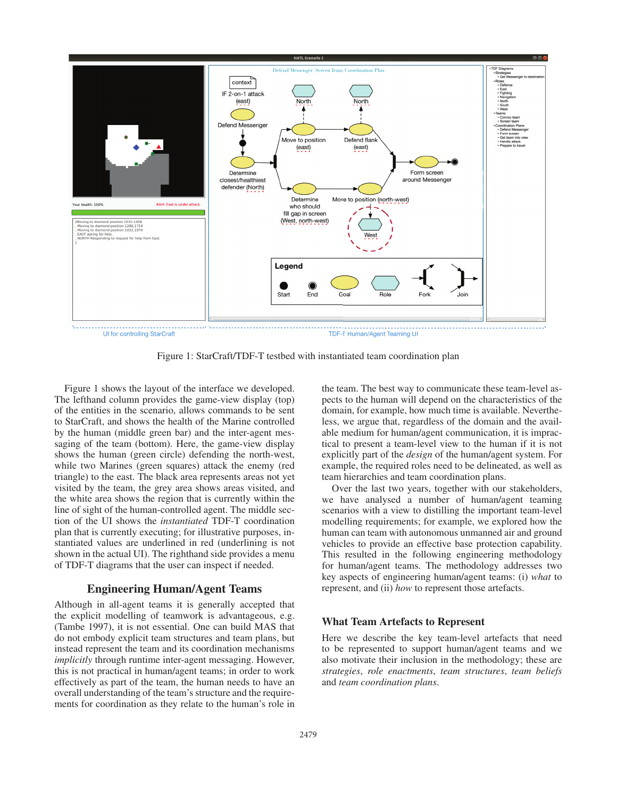

Figure 1: StarCraft/TDF-T testbed with instantiated team coordination plan

Figure 1 shows the layout of the interface we developed. The lefthand column provides the game-view display (top) of the entities in the scenario, allows commands to be sent to StarCraft, and shows the health of the Marine controlled by the human (middle green bar) and the inter-agent messaging of the team (bottom). Here, the game-view display shows the human (green circle) defending the north-west, while two Marines (green squares) attack the enemy (red triangle) to the east. The black area represents areas not yet visited by the team, the grey area shows areas visited, and the white area shows the region that is currently within the line of sight of the human-controlled agent. The middle section of the UI shows the *instantiated* TDF-T coordination plan that is currently executing; for illustrative purposes, instantiated values are underlined in red (underlining is not shown in the actual UI). The righthand side provides a menu of TDF-T diagrams that the user can inspect if needed.

## Engineering Human/Agent Teams

Although in all-agent teams it is generally accepted that the explicit modelling of teamwork is advantageous, e.g. (Tambe 1997), it is not essential. One can build MAS that do not embody explicit team structures and team plans, but instead represent the team and its coordination mechanisms *implicitly* through runtime inter-agent messaging. However, this is not practical in human/agent teams; in order to work effectively as part of the team, the human needs to have an overall understanding of the team's structure and the requirements for coordination as they relate to the human's role in

the team. The best way to communicate these team-level aspects to the human will depend on the characteristics of the domain, for example, how much time is available. Nevertheless, we argue that, regardless of the domain and the available medium for human/agent communication, it is impractical to present a team-level view to the human if it is not explicitly part of the *design* of the human/agent system. For example, the required roles need to be delineated, as well as team hierarchies and team coordination plans.

Over the last two years, together with our stakeholders, we have analysed a number of human/agent teaming scenarios with a view to distilling the important team-level modelling requirements; for example, we explored how the human can team with autonomous unmanned air and ground vehicles to provide an effective base protection capability. This resulted in the following engineering methodology for human/agent teams. The methodology addresses two key aspects of engineering human/agent teams: (i) *what* to represent, and (ii) *how* to represent those artefacts.

#### What Team Artefacts to Represent

Here we describe the key team-level artefacts that need to be represented to support human/agent teams and we also motivate their inclusion in the methodology; these are *strategies*, *role enactments*, *team structures*, *team beliefs* and *team coordination plans*.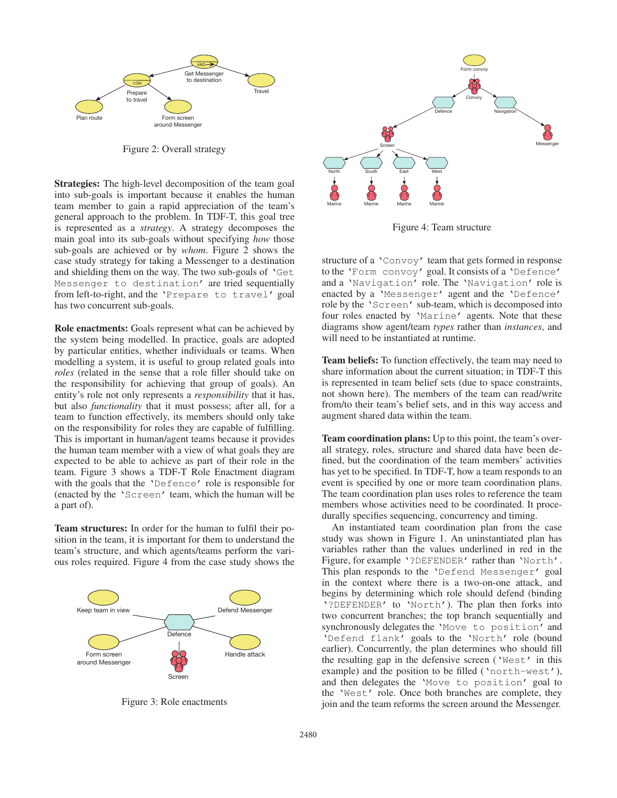

Figure 2: Overall strategy

Strategies: The high-level decomposition of the team goal into sub-goals is important because it enables the human team member to gain a rapid appreciation of the team's general approach to the problem. In TDF-T, this goal tree is represented as a *strategy*. A strategy decomposes the main goal into its sub-goals without specifying *how* those sub-goals are achieved or by *whom*. Figure 2 shows the case study strategy for taking a Messenger to a destination and shielding them on the way. The two sub-goals of 'Get Messenger to destination' are tried sequentially from left-to-right, and the 'Prepare to travel' goal has two concurrent sub-goals.

Role enactments: Goals represent what can be achieved by the system being modelled. In practice, goals are adopted by particular entities, whether individuals or teams. When modelling a system, it is useful to group related goals into *roles* (related in the sense that a role filler should take on the responsibility for achieving that group of goals). An entity's role not only represents a *responsibility* that it has, but also *functionality* that it must possess; after all, for a team to function effectively, its members should only take on the responsibility for roles they are capable of fulfilling. This is important in human/agent teams because it provides the human team member with a view of what goals they are expected to be able to achieve as part of their role in the team. Figure 3 shows a TDF-T Role Enactment diagram with the goals that the 'Defence' role is responsible for (enacted by the 'Screen' team, which the human will be a part of).

Team structures: In order for the human to fulfil their position in the team, it is important for them to understand the team's structure, and which agents/teams perform the various roles required. Figure 4 from the case study shows the



Figure 3: Role enactments



Figure 4: Team structure

structure of a 'Convoy' team that gets formed in response to the 'Form convoy' goal. It consists of a 'Defence' and a 'Navigation' role. The 'Navigation' role is enacted by a 'Messenger' agent and the 'Defence' role by the 'Screen' sub-team, which is decomposed into four roles enacted by 'Marine' agents. Note that these diagrams show agent/team *types* rather than *instances*, and will need to be instantiated at runtime.

Team beliefs: To function effectively, the team may need to share information about the current situation; in TDF-T this is represented in team belief sets (due to space constraints, not shown here). The members of the team can read/write from/to their team's belief sets, and in this way access and augment shared data within the team.

Team coordination plans: Up to this point, the team's overall strategy, roles, structure and shared data have been defined, but the coordination of the team members' activities has yet to be specified. In TDF-T, how a team responds to an event is specified by one or more team coordination plans. The team coordination plan uses roles to reference the team members whose activities need to be coordinated. It procedurally specifies sequencing, concurrency and timing.

An instantiated team coordination plan from the case study was shown in Figure 1. An uninstantiated plan has variables rather than the values underlined in red in the Figure, for example '?DEFENDER' rather than 'North'. This plan responds to the 'Defend Messenger' goal in the context where there is a two-on-one attack, and begins by determining which role should defend (binding '?DEFENDER' to 'North'). The plan then forks into two concurrent branches; the top branch sequentially and synchronously delegates the 'Move to position' and 'Defend flank' goals to the 'North' role (bound earlier). Concurrently, the plan determines who should fill the resulting gap in the defensive screen ('West' in this example) and the position to be filled ('north-west'), and then delegates the 'Move to position' goal to the 'West' role. Once both branches are complete, they join and the team reforms the screen around the Messenger.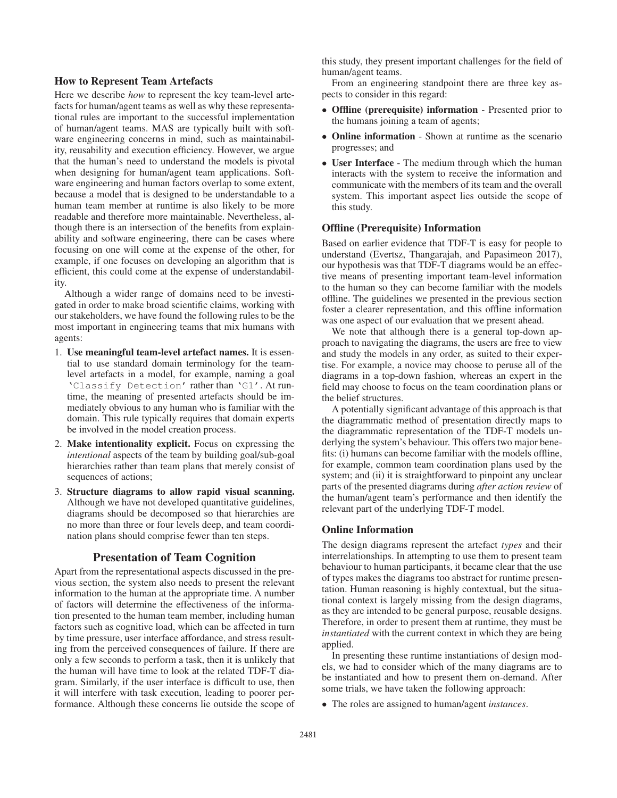#### How to Represent Team Artefacts

Here we describe *how* to represent the key team-level artefacts for human/agent teams as well as why these representational rules are important to the successful implementation of human/agent teams. MAS are typically built with software engineering concerns in mind, such as maintainability, reusability and execution efficiency. However, we argue that the human's need to understand the models is pivotal when designing for human/agent team applications. Software engineering and human factors overlap to some extent, because a model that is designed to be understandable to a human team member at runtime is also likely to be more readable and therefore more maintainable. Nevertheless, although there is an intersection of the benefits from explainability and software engineering, there can be cases where focusing on one will come at the expense of the other, for example, if one focuses on developing an algorithm that is efficient, this could come at the expense of understandability.

Although a wider range of domains need to be investigated in order to make broad scientific claims, working with our stakeholders, we have found the following rules to be the most important in engineering teams that mix humans with agents:

- 1. Use meaningful team-level artefact names. It is essential to use standard domain terminology for the teamlevel artefacts in a model, for example, naming a goal 'Classify Detection' rather than 'G1'. At runtime, the meaning of presented artefacts should be immediately obvious to any human who is familiar with the domain. This rule typically requires that domain experts be involved in the model creation process.
- 2. Make intentionality explicit. Focus on expressing the *intentional* aspects of the team by building goal/sub-goal hierarchies rather than team plans that merely consist of sequences of actions;
- 3. Structure diagrams to allow rapid visual scanning. Although we have not developed quantitative guidelines, diagrams should be decomposed so that hierarchies are no more than three or four levels deep, and team coordination plans should comprise fewer than ten steps.

#### Presentation of Team Cognition

Apart from the representational aspects discussed in the previous section, the system also needs to present the relevant information to the human at the appropriate time. A number of factors will determine the effectiveness of the information presented to the human team member, including human factors such as cognitive load, which can be affected in turn by time pressure, user interface affordance, and stress resulting from the perceived consequences of failure. If there are only a few seconds to perform a task, then it is unlikely that the human will have time to look at the related TDF-T diagram. Similarly, if the user interface is difficult to use, then it will interfere with task execution, leading to poorer performance. Although these concerns lie outside the scope of

this study, they present important challenges for the field of human/agent teams.

From an engineering standpoint there are three key aspects to consider in this regard:

- Offline (prerequisite) information Presented prior to the humans joining a team of agents;
- Online information Shown at runtime as the scenario progresses; and
- User Interface The medium through which the human interacts with the system to receive the information and communicate with the members of its team and the overall system. This important aspect lies outside the scope of this study.

## Offline (Prerequisite) Information

Based on earlier evidence that TDF-T is easy for people to understand (Evertsz, Thangarajah, and Papasimeon 2017), our hypothesis was that TDF-T diagrams would be an effective means of presenting important team-level information to the human so they can become familiar with the models offline. The guidelines we presented in the previous section foster a clearer representation, and this offline information was one aspect of our evaluation that we present ahead.

We note that although there is a general top-down approach to navigating the diagrams, the users are free to view and study the models in any order, as suited to their expertise. For example, a novice may choose to peruse all of the diagrams in a top-down fashion, whereas an expert in the field may choose to focus on the team coordination plans or the belief structures.

A potentially significant advantage of this approach is that the diagrammatic method of presentation directly maps to the diagrammatic representation of the TDF-T models underlying the system's behaviour. This offers two major benefits: (i) humans can become familiar with the models offline, for example, common team coordination plans used by the system; and (ii) it is straightforward to pinpoint any unclear parts of the presented diagrams during *after action review* of the human/agent team's performance and then identify the relevant part of the underlying TDF-T model.

#### Online Information

The design diagrams represent the artefact *types* and their interrelationships. In attempting to use them to present team behaviour to human participants, it became clear that the use of types makes the diagrams too abstract for runtime presentation. Human reasoning is highly contextual, but the situational context is largely missing from the design diagrams, as they are intended to be general purpose, reusable designs. Therefore, in order to present them at runtime, they must be *instantiated* with the current context in which they are being applied.

In presenting these runtime instantiations of design models, we had to consider which of the many diagrams are to be instantiated and how to present them on-demand. After some trials, we have taken the following approach:

• The roles are assigned to human/agent *instances*.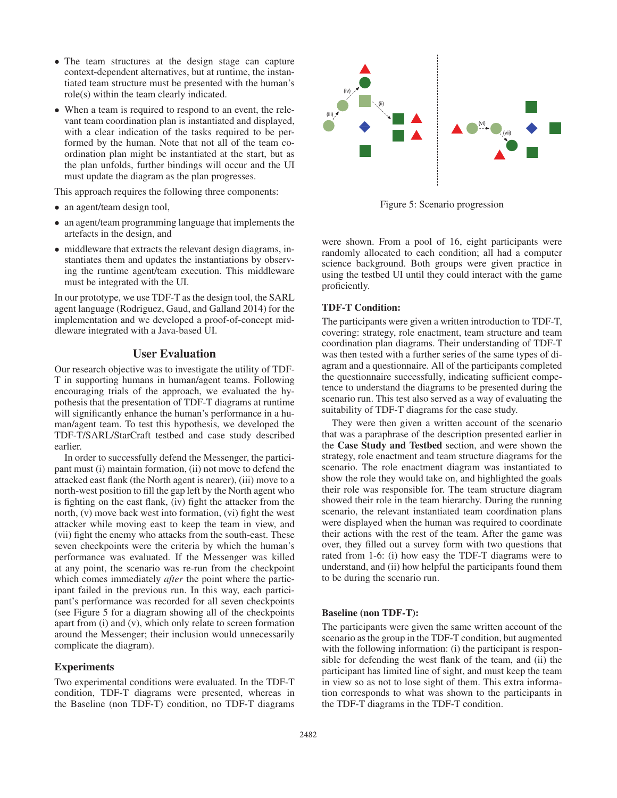- The team structures at the design stage can capture context-dependent alternatives, but at runtime, the instantiated team structure must be presented with the human's role(s) within the team clearly indicated.
- When a team is required to respond to an event, the relevant team coordination plan is instantiated and displayed, with a clear indication of the tasks required to be performed by the human. Note that not all of the team coordination plan might be instantiated at the start, but as the plan unfolds, further bindings will occur and the UI must update the diagram as the plan progresses.

This approach requires the following three components:

- an agent/team design tool,
- an agent/team programming language that implements the artefacts in the design, and
- middleware that extracts the relevant design diagrams, instantiates them and updates the instantiations by observing the runtime agent/team execution. This middleware must be integrated with the UI.

In our prototype, we use TDF-T as the design tool, the SARL agent language (Rodriguez, Gaud, and Galland 2014) for the implementation and we developed a proof-of-concept middleware integrated with a Java-based UI.

## User Evaluation

Our research objective was to investigate the utility of TDF-T in supporting humans in human/agent teams. Following encouraging trials of the approach, we evaluated the hypothesis that the presentation of TDF-T diagrams at runtime will significantly enhance the human's performance in a human/agent team. To test this hypothesis, we developed the TDF-T/SARL/StarCraft testbed and case study described earlier.

In order to successfully defend the Messenger, the participant must (i) maintain formation, (ii) not move to defend the attacked east flank (the North agent is nearer), (iii) move to a north-west position to fill the gap left by the North agent who is fighting on the east flank, (iv) fight the attacker from the north, (v) move back west into formation, (vi) fight the west attacker while moving east to keep the team in view, and (vii) fight the enemy who attacks from the south-east. These seven checkpoints were the criteria by which the human's performance was evaluated. If the Messenger was killed at any point, the scenario was re-run from the checkpoint which comes immediately *after* the point where the participant failed in the previous run. In this way, each participant's performance was recorded for all seven checkpoints (see Figure 5 for a diagram showing all of the checkpoints apart from (i) and (v), which only relate to screen formation around the Messenger; their inclusion would unnecessarily complicate the diagram).

#### **Experiments**

Two experimental conditions were evaluated. In the TDF-T condition, TDF-T diagrams were presented, whereas in the Baseline (non TDF-T) condition, no TDF-T diagrams



Figure 5: Scenario progression

were shown. From a pool of 16, eight participants were randomly allocated to each condition; all had a computer science background. Both groups were given practice in using the testbed UI until they could interact with the game proficiently.

#### TDF-T Condition:

The participants were given a written introduction to TDF-T, covering: strategy, role enactment, team structure and team coordination plan diagrams. Their understanding of TDF-T was then tested with a further series of the same types of diagram and a questionnaire. All of the participants completed the questionnaire successfully, indicating sufficient competence to understand the diagrams to be presented during the scenario run. This test also served as a way of evaluating the suitability of TDF-T diagrams for the case study.

They were then given a written account of the scenario that was a paraphrase of the description presented earlier in the Case Study and Testbed section, and were shown the strategy, role enactment and team structure diagrams for the scenario. The role enactment diagram was instantiated to show the role they would take on, and highlighted the goals their role was responsible for. The team structure diagram showed their role in the team hierarchy. During the running scenario, the relevant instantiated team coordination plans were displayed when the human was required to coordinate their actions with the rest of the team. After the game was over, they filled out a survey form with two questions that rated from 1-6: (i) how easy the TDF-T diagrams were to understand, and (ii) how helpful the participants found them to be during the scenario run.

#### Baseline (non TDF-T):

The participants were given the same written account of the scenario as the group in the TDF-T condition, but augmented with the following information: (i) the participant is responsible for defending the west flank of the team, and (ii) the participant has limited line of sight, and must keep the team in view so as not to lose sight of them. This extra information corresponds to what was shown to the participants in the TDF-T diagrams in the TDF-T condition.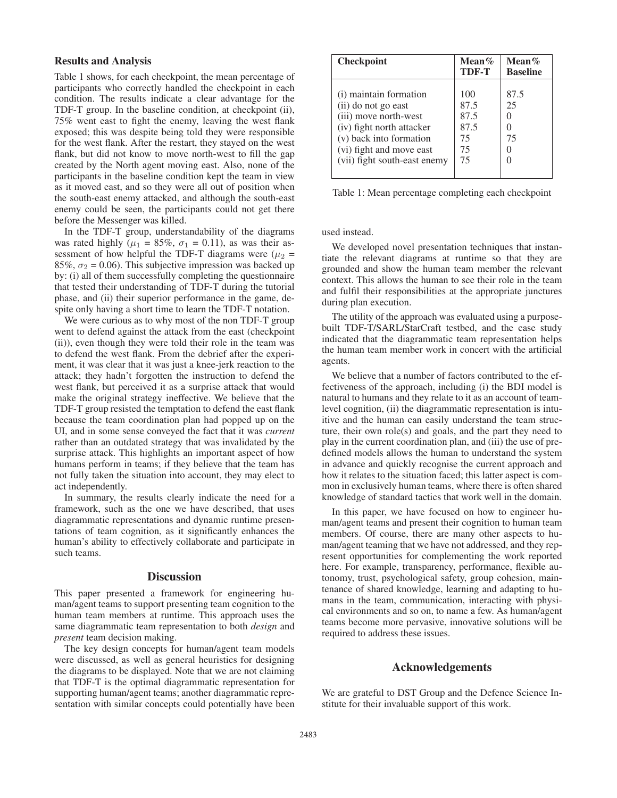#### Results and Analysis

Table 1 shows, for each checkpoint, the mean percentage of participants who correctly handled the checkpoint in each condition. The results indicate a clear advantage for the TDF-T group. In the baseline condition, at checkpoint (ii), 75% went east to fight the enemy, leaving the west flank exposed; this was despite being told they were responsible for the west flank. After the restart, they stayed on the west flank, but did not know to move north-west to fill the gap created by the North agent moving east. Also, none of the participants in the baseline condition kept the team in view as it moved east, and so they were all out of position when the south-east enemy attacked, and although the south-east enemy could be seen, the participants could not get there before the Messenger was killed.

In the TDF-T group, understandability of the diagrams was rated highly ( $\mu_1 = 85\%$ ,  $\sigma_1 = 0.11$ ), as was their assessment of how helpful the TDF-T diagrams were ( $\mu_2$  = 85%,  $\sigma_2$  = 0.06). This subjective impression was backed up by: (i) all of them successfully completing the questionnaire that tested their understanding of TDF-T during the tutorial phase, and (ii) their superior performance in the game, despite only having a short time to learn the TDF-T notation.

We were curious as to why most of the non TDF-T group went to defend against the attack from the east (checkpoint (ii)), even though they were told their role in the team was to defend the west flank. From the debrief after the experiment, it was clear that it was just a knee-jerk reaction to the attack; they hadn't forgotten the instruction to defend the west flank, but perceived it as a surprise attack that would make the original strategy ineffective. We believe that the TDF-T group resisted the temptation to defend the east flank because the team coordination plan had popped up on the UI, and in some sense conveyed the fact that it was *current* rather than an outdated strategy that was invalidated by the surprise attack. This highlights an important aspect of how humans perform in teams; if they believe that the team has not fully taken the situation into account, they may elect to act independently.

In summary, the results clearly indicate the need for a framework, such as the one we have described, that uses diagrammatic representations and dynamic runtime presentations of team cognition, as it significantly enhances the human's ability to effectively collaborate and participate in such teams.

#### **Discussion**

This paper presented a framework for engineering human/agent teams to support presenting team cognition to the human team members at runtime. This approach uses the same diagrammatic team representation to both *design* and *present* team decision making.

The key design concepts for human/agent team models were discussed, as well as general heuristics for designing the diagrams to be displayed. Note that we are not claiming that TDF-T is the optimal diagrammatic representation for supporting human/agent teams; another diagrammatic representation with similar concepts could potentially have been

| <b>Checkpoint</b>                                                                                                                                                                          | Mean $%$<br><b>TDF-T</b>                      | Mean $\%$<br><b>Baseline</b> |
|--------------------------------------------------------------------------------------------------------------------------------------------------------------------------------------------|-----------------------------------------------|------------------------------|
| (i) maintain formation<br>(ii) do not go east<br>(iii) move north-west<br>(iv) fight north attacker<br>(v) back into formation<br>(vi) fight and move east<br>(vii) fight south-east enemy | 100<br>87.5<br>87.5<br>87.5<br>75<br>75<br>75 | 87.5<br>25<br>0<br>75        |

Table 1: Mean percentage completing each checkpoint

used instead.

We developed novel presentation techniques that instantiate the relevant diagrams at runtime so that they are grounded and show the human team member the relevant context. This allows the human to see their role in the team and fulfil their responsibilities at the appropriate junctures during plan execution.

The utility of the approach was evaluated using a purposebuilt TDF-T/SARL/StarCraft testbed, and the case study indicated that the diagrammatic team representation helps the human team member work in concert with the artificial agents.

We believe that a number of factors contributed to the effectiveness of the approach, including (i) the BDI model is natural to humans and they relate to it as an account of teamlevel cognition, (ii) the diagrammatic representation is intuitive and the human can easily understand the team structure, their own role(s) and goals, and the part they need to play in the current coordination plan, and (iii) the use of predefined models allows the human to understand the system in advance and quickly recognise the current approach and how it relates to the situation faced; this latter aspect is common in exclusively human teams, where there is often shared knowledge of standard tactics that work well in the domain.

In this paper, we have focused on how to engineer human/agent teams and present their cognition to human team members. Of course, there are many other aspects to human/agent teaming that we have not addressed, and they represent opportunities for complementing the work reported here. For example, transparency, performance, flexible autonomy, trust, psychological safety, group cohesion, maintenance of shared knowledge, learning and adapting to humans in the team, communication, interacting with physical environments and so on, to name a few. As human/agent teams become more pervasive, innovative solutions will be required to address these issues.

#### Acknowledgements

We are grateful to DST Group and the Defence Science Institute for their invaluable support of this work.